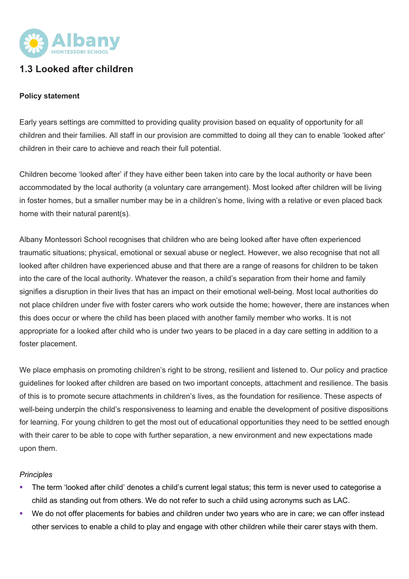

## **1.3 Looked after children**

## **Policy statement**

Early years settings are committed to providing quality provision based on equality of opportunity for all children and their families. All staff in our provision are committed to doing all they can to enable 'looked after' children in their care to achieve and reach their full potential.

Children become 'looked after' if they have either been taken into care by the local authority or have been accommodated by the local authority (a voluntary care arrangement). Most looked after children will be living in foster homes, but a smaller number may be in a children's home, living with a relative or even placed back home with their natural parent(s).

Albany Montessori School recognises that children who are being looked after have often experienced traumatic situations; physical, emotional or sexual abuse or neglect. However, we also recognise that not all looked after children have experienced abuse and that there are a range of reasons for children to be taken into the care of the local authority. Whatever the reason, a child's separation from their home and family signifies a disruption in their lives that has an impact on their emotional well-being. Most local authorities do not place children under five with foster carers who work outside the home; however, there are instances when this does occur or where the child has been placed with another family member who works. It is not appropriate for a looked after child who is under two years to be placed in a day care setting in addition to a foster placement.

We place emphasis on promoting children's right to be strong, resilient and listened to. Our policy and practice guidelines for looked after children are based on two important concepts, attachment and resilience. The basis of this is to promote secure attachments in children's lives, as the foundation for resilience. These aspects of well-being underpin the child's responsiveness to learning and enable the development of positive dispositions for learning. For young children to get the most out of educational opportunities they need to be settled enough with their carer to be able to cope with further separation, a new environment and new expectations made upon them.

## *Principles*

- The term 'looked after child' denotes a child's current legal status; this term is never used to categorise a child as standing out from others. We do not refer to such a child using acronyms such as LAC.
- We do not offer placements for babies and children under two years who are in care; we can offer instead other services to enable a child to play and engage with other children while their carer stays with them.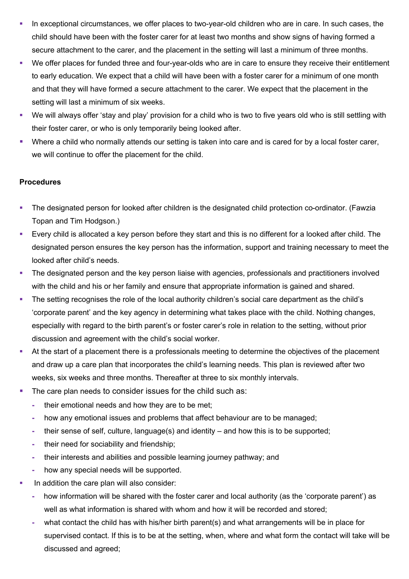- In exceptional circumstances, we offer places to two-year-old children who are in care. In such cases, the child should have been with the foster carer for at least two months and show signs of having formed a secure attachment to the carer, and the placement in the setting will last a minimum of three months.
- We offer places for funded three and four-year-olds who are in care to ensure they receive their entitlement to early education. We expect that a child will have been with a foster carer for a minimum of one month and that they will have formed a secure attachment to the carer. We expect that the placement in the setting will last a minimum of six weeks.
- § We will always offer 'stay and play' provision for a child who is two to five years old who is still settling with their foster carer, or who is only temporarily being looked after.
- Where a child who normally attends our setting is taken into care and is cared for by a local foster carer, we will continue to offer the placement for the child.

## **Procedures**

- The designated person for looked after children is the designated child protection co-ordinator. (Fawzia Topan and Tim Hodgson.)
- Every child is allocated a key person before they start and this is no different for a looked after child. The designated person ensures the key person has the information, support and training necessary to meet the looked after child's needs.
- The designated person and the key person liaise with agencies, professionals and practitioners involved with the child and his or her family and ensure that appropriate information is gained and shared.
- The setting recognises the role of the local authority children's social care department as the child's 'corporate parent' and the key agency in determining what takes place with the child. Nothing changes, especially with regard to the birth parent's or foster carer's role in relation to the setting, without prior discussion and agreement with the child's social worker.
- At the start of a placement there is a professionals meeting to determine the objectives of the placement and draw up a care plan that incorporates the child's learning needs. This plan is reviewed after two weeks, six weeks and three months. Thereafter at three to six monthly intervals.
- The care plan needs to consider issues for the child such as:
	- **-** their emotional needs and how they are to be met;
	- **-** how any emotional issues and problems that affect behaviour are to be managed;
	- **-** their sense of self, culture, language(s) and identity and how this is to be supported;
	- **-** their need for sociability and friendship;
	- **-** their interests and abilities and possible learning journey pathway; and
	- **-** how any special needs will be supported.
- In addition the care plan will also consider:
	- **-** how information will be shared with the foster carer and local authority (as the 'corporate parent') as well as what information is shared with whom and how it will be recorded and stored;
	- **-** what contact the child has with his/her birth parent(s) and what arrangements will be in place for supervised contact. If this is to be at the setting, when, where and what form the contact will take will be discussed and agreed;